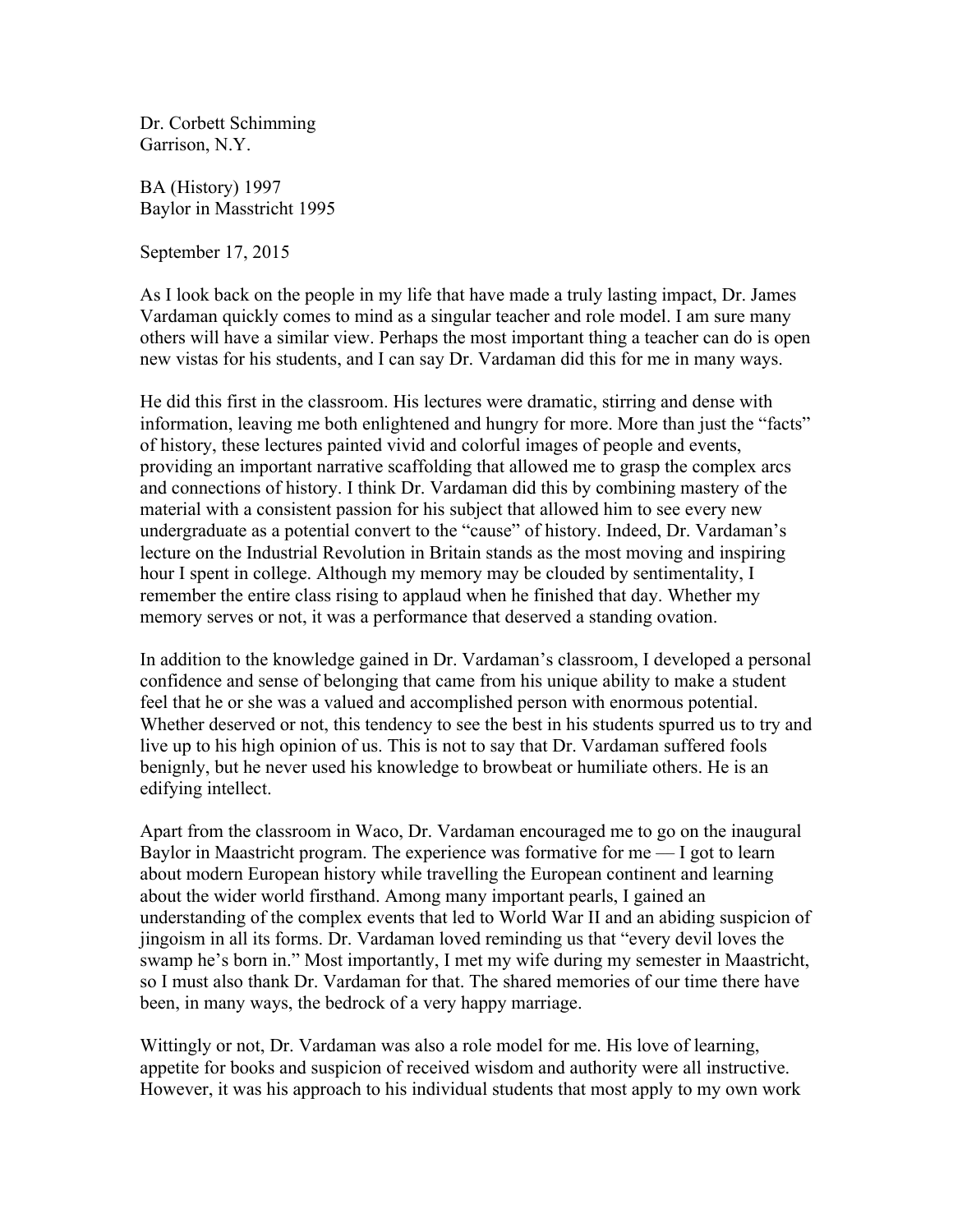Dr. Corbett Schimming Garrison, N.Y.

BA (History) 1997 Baylor in Masstricht 1995

September 17, 2015

As I look back on the people in my life that have made a truly lasting impact, Dr. James Vardaman quickly comes to mind as a singular teacher and role model. I am sure many others will have a similar view. Perhaps the most important thing a teacher can do is open new vistas for his students, and I can say Dr. Vardaman did this for me in many ways.

He did this first in the classroom. His lectures were dramatic, stirring and dense with information, leaving me both enlightened and hungry for more. More than just the "facts" of history, these lectures painted vivid and colorful images of people and events, providing an important narrative scaffolding that allowed me to grasp the complex arcs and connections of history. I think Dr. Vardaman did this by combining mastery of the material with a consistent passion for his subject that allowed him to see every new undergraduate as a potential convert to the "cause" of history. Indeed, Dr. Vardaman's lecture on the Industrial Revolution in Britain stands as the most moving and inspiring hour I spent in college. Although my memory may be clouded by sentimentality, I remember the entire class rising to applaud when he finished that day. Whether my memory serves or not, it was a performance that deserved a standing ovation.

In addition to the knowledge gained in Dr. Vardaman's classroom, I developed a personal confidence and sense of belonging that came from his unique ability to make a student feel that he or she was a valued and accomplished person with enormous potential. Whether deserved or not, this tendency to see the best in his students spurred us to try and live up to his high opinion of us. This is not to say that Dr. Vardaman suffered fools benignly, but he never used his knowledge to browbeat or humiliate others. He is an edifying intellect.

Apart from the classroom in Waco, Dr. Vardaman encouraged me to go on the inaugural Baylor in Maastricht program. The experience was formative for  $me - I$  got to learn about modern European history while travelling the European continent and learning about the wider world firsthand. Among many important pearls, I gained an understanding of the complex events that led to World War II and an abiding suspicion of jingoism in all its forms. Dr. Vardaman loved reminding us that "every devil loves the swamp he's born in." Most importantly, I met my wife during my semester in Maastricht, so I must also thank Dr. Vardaman for that. The shared memories of our time there have been, in many ways, the bedrock of a very happy marriage.

Wittingly or not, Dr. Vardaman was also a role model for me. His love of learning, appetite for books and suspicion of received wisdom and authority were all instructive. However, it was his approach to his individual students that most apply to my own work